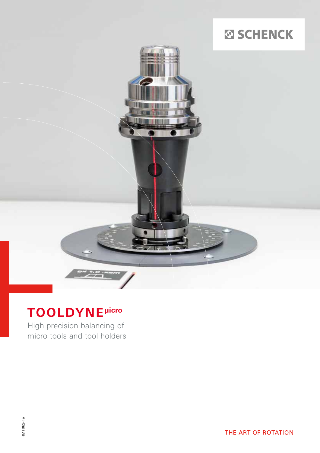# **SO SCHENCK**



## **TOOLDYNE µicro**

High precision balancing of micro tools and tool holders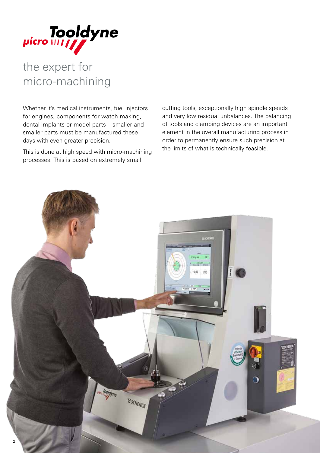

## the expert for micro-machining

Whether it's medical instruments, fuel injectors for engines, components for watch making, dental implants or model parts – smaller and smaller parts must be manufactured these days with even greater precision.

This is done at high speed with micro-machining processes. This is based on extremely small

cutting tools, exceptionally high spindle speeds and very low residual unbalances. The balancing of tools and clamping devices are an important element in the overall manufacturing process in order to permanently ensure such precision at the limits of what is technically feasible.

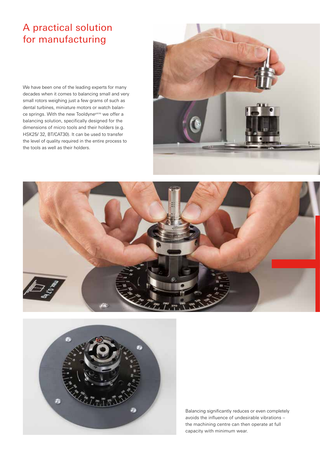### A practical solution for manufacturing

We have been one of the leading experts for many decades when it comes to balancing small and very small rotors weighing just a few grams of such as dental turbines, miniature motors or watch balance springs. With the new Tooldyne<sup>picro</sup> we offer a balancing solution, specifically designed for the dimensions of micro tools and their holders (e.g. HSK25/ 32, BT/CAT30). It can be used to transfer the level of quality required in the entire process to the tools as well as their holders.







Balancing significantly reduces or even completely avoids the influence of undesirable vibrations – the machining centre can then operate at full capacity with minimum wear.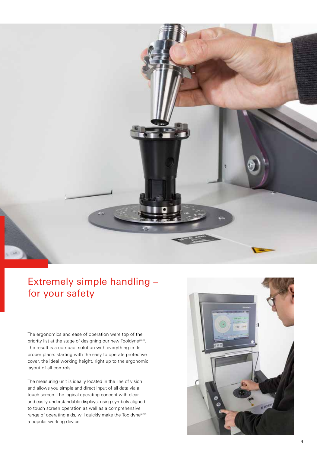

### Extremely simple handling – for your safety

The ergonomics and ease of operation were top of the priority list at the stage of designing our new Tooldyne<sup>µicro</sup>. The result is a compact solution with everything in its proper place: starting with the easy to operate protective cover, the ideal working height, right up to the ergonomic layout of all controls.

The measuring unit is ideally located in the line of vision and allows you simple and direct input of all data via a touch screen. The logical operating concept with clear and easily understandable displays, using symbols aligned to touch screen operation as well as a comprehensive range of operating aids, will quickly make the Tooldyne<sup>µicro</sup> a popular working device.

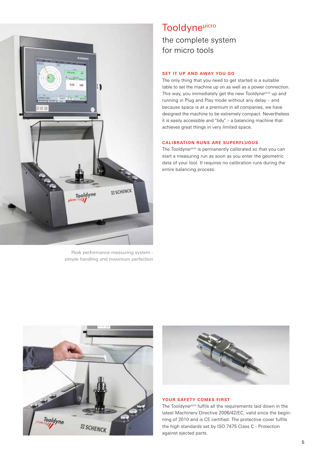

Peak performance measuring system simple handling and maximum perfection

### **Tooldyne**<sup>µicro</sup> the complete system for micro tools

#### **SET IT UP AND AWAY YOU GO**

The only thing that you need to get started is a suitable table to set the machine up on as well as a power connection. This way, you immediately get the new Tooldyne<sup>µicro</sup> up and running in Plug and Play mode without any delay – and because space is at a premium in all companies, we have designed the machine to be extremely compact. Nevertheless it is easily accessible and "tidy" – a balancing machine that achieves great things in very limited space.

#### **CALIBRATION RUNS ARE SUPERFLUOUS**

The Tooldyne<sup>µicro</sup> is permanently calibrated so that you can start a measuring run as soon as you enter the geometric data of your tool. It requires no calibration runs during the entire balancing process.





#### **YOUR SAFETY COMES FIRST**

The Tooldyne<sup>µicro</sup> fulfils all the requirements laid down in the latest Machinery Directive 2006/42/EC, valid since the beginning of 2010 and is CE certified. The protective cover fulfils the high standards set by ISO 7475 Class C - Protection against ejected parts.